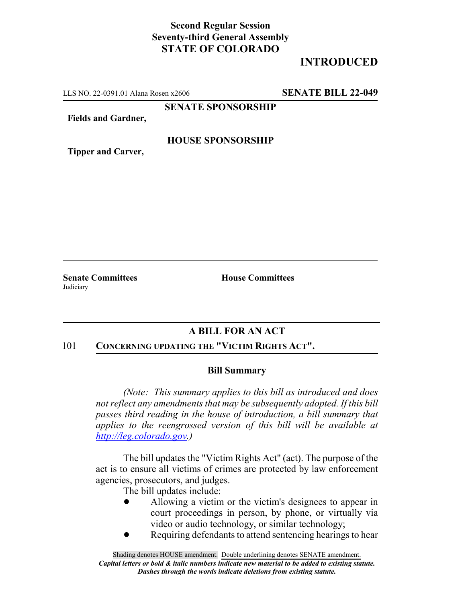### **Second Regular Session Seventy-third General Assembly STATE OF COLORADO**

# **INTRODUCED**

LLS NO. 22-0391.01 Alana Rosen x2606 **SENATE BILL 22-049**

**SENATE SPONSORSHIP**

**Fields and Gardner,**

#### **HOUSE SPONSORSHIP**

**Tipper and Carver,**

**Senate Committees House Committees Judiciary** 

## **A BILL FOR AN ACT**

#### 101 **CONCERNING UPDATING THE "VICTIM RIGHTS ACT".**

#### **Bill Summary**

*(Note: This summary applies to this bill as introduced and does not reflect any amendments that may be subsequently adopted. If this bill passes third reading in the house of introduction, a bill summary that applies to the reengrossed version of this bill will be available at http://leg.colorado.gov.)*

The bill updates the "Victim Rights Act" (act). The purpose of the act is to ensure all victims of crimes are protected by law enforcement agencies, prosecutors, and judges.

The bill updates include:

- ! Allowing a victim or the victim's designees to appear in court proceedings in person, by phone, or virtually via video or audio technology, or similar technology;
- Requiring defendants to attend sentencing hearings to hear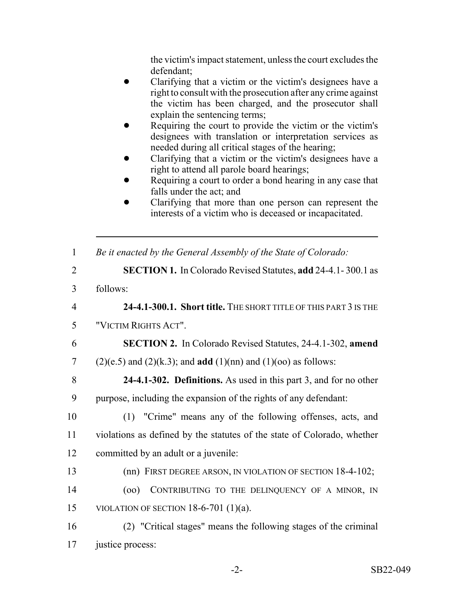the victim's impact statement, unless the court excludes the defendant;

- ! Clarifying that a victim or the victim's designees have a right to consult with the prosecution after any crime against the victim has been charged, and the prosecutor shall explain the sentencing terms;
- Requiring the court to provide the victim or the victim's designees with translation or interpretation services as needed during all critical stages of the hearing;
- ! Clarifying that a victim or the victim's designees have a right to attend all parole board hearings;
- Requiring a court to order a bond hearing in any case that falls under the act; and
- ! Clarifying that more than one person can represent the interests of a victim who is deceased or incapacitated.

| $\mathbf{1}$   | Be it enacted by the General Assembly of the State of Colorado:                |
|----------------|--------------------------------------------------------------------------------|
| $\overline{2}$ | <b>SECTION 1.</b> In Colorado Revised Statutes, add 24-4.1-300.1 as            |
| $\overline{3}$ | follows:                                                                       |
| $\overline{4}$ | 24-4.1-300.1. Short title. THE SHORT TITLE OF THIS PART 3 IS THE               |
| 5              | "VICTIM RIGHTS ACT".                                                           |
| 6              | <b>SECTION 2.</b> In Colorado Revised Statutes, 24-4.1-302, amend              |
| $\overline{7}$ | $(2)(e.5)$ and $(2)(k.3)$ ; and <b>add</b> $(1)(nn)$ and $(1)(oo)$ as follows: |
| 8              | <b>24-4.1-302. Definitions.</b> As used in this part 3, and for no other       |
| 9              | purpose, including the expansion of the rights of any defendant:               |
| 10             | (1) "Crime" means any of the following offenses, acts, and                     |
| 11             | violations as defined by the statutes of the state of Colorado, whether        |
| 12             | committed by an adult or a juvenile:                                           |
| 13             | (nn) FIRST DEGREE ARSON, IN VIOLATION OF SECTION 18-4-102;                     |
| 14             | CONTRIBUTING TO THE DELINQUENCY OF A MINOR, IN<br>(00)                         |
| 15             | VIOLATION OF SECTION $18-6-701$ (1)(a).                                        |
| 16             | (2) "Critical stages" means the following stages of the criminal               |
| 17             | justice process:                                                               |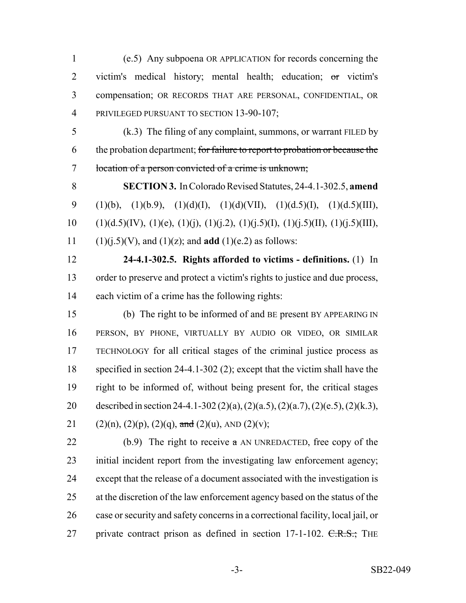(e.5) Any subpoena OR APPLICATION for records concerning the victim's medical history; mental health; education; or victim's compensation; OR RECORDS THAT ARE PERSONAL, CONFIDENTIAL, OR 4 PRIVILEGED PURSUANT TO SECTION 13-90-107;

 (k.3) The filing of any complaint, summons, or warrant FILED by 6 the probation department; for failure to report to probation or because the location of a person convicted of a crime is unknown;

 **SECTION 3.** In Colorado Revised Statutes, 24-4.1-302.5, **amend** 9 (1)(b), (1)(b.9), (1)(d)(I), (1)(d)(VII), (1)(d.5)(I), (1)(d.5)(III), 10 (1)(d.5)(IV), (1)(e), (1)(j), (1)(j.2), (1)(j.5)(I), (1)(j.5)(II), (1)(j.5)(III), (1)(j.5)(V), and (1)(z); and **add** (1)(e.2) as follows:

 **24-4.1-302.5. Rights afforded to victims - definitions.** (1) In order to preserve and protect a victim's rights to justice and due process, each victim of a crime has the following rights:

 (b) The right to be informed of and BE present BY APPEARING IN PERSON, BY PHONE, VIRTUALLY BY AUDIO OR VIDEO, OR SIMILAR TECHNOLOGY for all critical stages of the criminal justice process as specified in section 24-4.1-302 (2); except that the victim shall have the right to be informed of, without being present for, the critical stages described in section 24-4.1-302 (2)(a), (2)(a.5), (2)(a.7), (2)(e.5), (2)(k.3), 21 (2)(n), (2)(p), (2)(q), and (2)(u), AND (2)(v);

22 (b.9) The right to receive  $\alpha$  AN UNREDACTED, free copy of the initial incident report from the investigating law enforcement agency; except that the release of a document associated with the investigation is at the discretion of the law enforcement agency based on the status of the case or security and safety concerns in a correctional facility, local jail, or 27 private contract prison as defined in section 17-1-102. C.R.S.; THE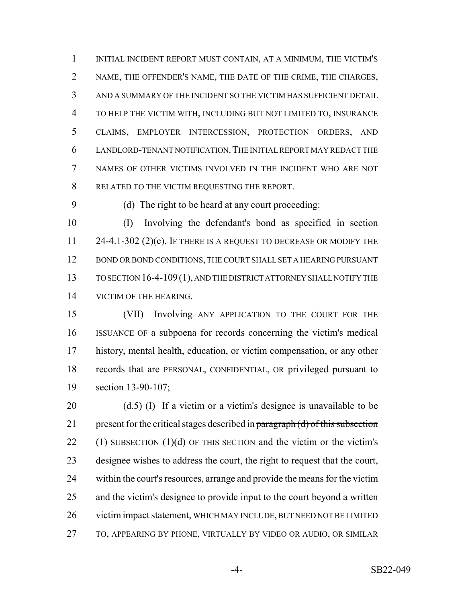INITIAL INCIDENT REPORT MUST CONTAIN, AT A MINIMUM, THE VICTIM'S NAME, THE OFFENDER'S NAME, THE DATE OF THE CRIME, THE CHARGES, AND A SUMMARY OF THE INCIDENT SO THE VICTIM HAS SUFFICIENT DETAIL TO HELP THE VICTIM WITH, INCLUDING BUT NOT LIMITED TO, INSURANCE CLAIMS, EMPLOYER INTERCESSION, PROTECTION ORDERS, AND LANDLORD-TENANT NOTIFICATION.THE INITIAL REPORT MAY REDACT THE NAMES OF OTHER VICTIMS INVOLVED IN THE INCIDENT WHO ARE NOT RELATED TO THE VICTIM REQUESTING THE REPORT.

(d) The right to be heard at any court proceeding:

 (I) Involving the defendant's bond as specified in section 11 24-4.1-302 (2)(c). IF THERE IS A REQUEST TO DECREASE OR MODIFY THE 12 BOND OR BOND CONDITIONS, THE COURT SHALL SET A HEARING PURSUANT TO SECTION 16-4-109(1), AND THE DISTRICT ATTORNEY SHALL NOTIFY THE 14 VICTIM OF THE HEARING.

 (VII) Involving ANY APPLICATION TO THE COURT FOR THE ISSUANCE OF a subpoena for records concerning the victim's medical history, mental health, education, or victim compensation, or any other records that are PERSONAL, CONFIDENTIAL, OR privileged pursuant to section 13-90-107;

 (d.5) (I) If a victim or a victim's designee is unavailable to be 21 present for the critical stages described in paragraph  $(d)$  of this subsection  $(\text{+)}$  SUBSECTION (1)(d) OF THIS SECTION and the victim or the victim's designee wishes to address the court, the right to request that the court, within the court's resources, arrange and provide the means for the victim and the victim's designee to provide input to the court beyond a written victim impact statement, WHICH MAY INCLUDE, BUT NEED NOT BE LIMITED TO, APPEARING BY PHONE, VIRTUALLY BY VIDEO OR AUDIO, OR SIMILAR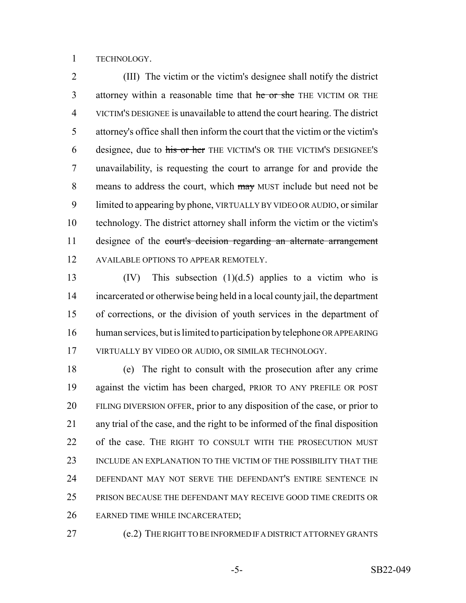TECHNOLOGY.

 (III) The victim or the victim's designee shall notify the district 3 attorney within a reasonable time that he or she THE VICTIM OR THE VICTIM'S DESIGNEE is unavailable to attend the court hearing. The district attorney's office shall then inform the court that the victim or the victim's 6 designee, due to his or her THE VICTIM'S OR THE VICTIM'S DESIGNEE'S unavailability, is requesting the court to arrange for and provide the 8 means to address the court, which may MUST include but need not be limited to appearing by phone, VIRTUALLY BY VIDEO OR AUDIO, or similar technology. The district attorney shall inform the victim or the victim's 11 designee of the court's decision regarding an alternate arrangement 12 AVAILABLE OPTIONS TO APPEAR REMOTELY.

 (IV) This subsection (1)(d.5) applies to a victim who is incarcerated or otherwise being held in a local county jail, the department of corrections, or the division of youth services in the department of human services, but is limited to participation by telephone OR APPEARING VIRTUALLY BY VIDEO OR AUDIO, OR SIMILAR TECHNOLOGY.

 (e) The right to consult with the prosecution after any crime against the victim has been charged, PRIOR TO ANY PREFILE OR POST FILING DIVERSION OFFER, prior to any disposition of the case, or prior to any trial of the case, and the right to be informed of the final disposition 22 of the case. THE RIGHT TO CONSULT WITH THE PROSECUTION MUST INCLUDE AN EXPLANATION TO THE VICTIM OF THE POSSIBILITY THAT THE DEFENDANT MAY NOT SERVE THE DEFENDANT'S ENTIRE SENTENCE IN PRISON BECAUSE THE DEFENDANT MAY RECEIVE GOOD TIME CREDITS OR EARNED TIME WHILE INCARCERATED;

(e.2) THE RIGHT TO BE INFORMED IF A DISTRICT ATTORNEY GRANTS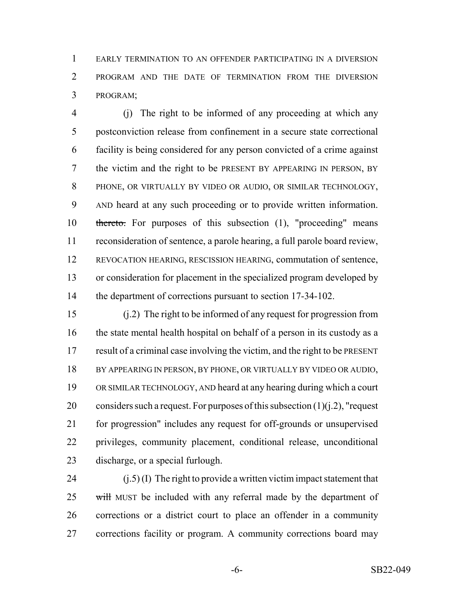EARLY TERMINATION TO AN OFFENDER PARTICIPATING IN A DIVERSION PROGRAM AND THE DATE OF TERMINATION FROM THE DIVERSION PROGRAM;

 (j) The right to be informed of any proceeding at which any postconviction release from confinement in a secure state correctional facility is being considered for any person convicted of a crime against the victim and the right to be PRESENT BY APPEARING IN PERSON, BY PHONE, OR VIRTUALLY BY VIDEO OR AUDIO, OR SIMILAR TECHNOLOGY, AND heard at any such proceeding or to provide written information. thereto. For purposes of this subsection (1), "proceeding" means reconsideration of sentence, a parole hearing, a full parole board review, REVOCATION HEARING, RESCISSION HEARING, commutation of sentence, or consideration for placement in the specialized program developed by the department of corrections pursuant to section 17-34-102.

 (j.2) The right to be informed of any request for progression from the state mental health hospital on behalf of a person in its custody as a result of a criminal case involving the victim, and the right to be PRESENT 18 BY APPEARING IN PERSON, BY PHONE, OR VIRTUALLY BY VIDEO OR AUDIO, OR SIMILAR TECHNOLOGY, AND heard at any hearing during which a court 20 considers such a request. For purposes of this subsection  $(1)(i.2)$ , "request for progression" includes any request for off-grounds or unsupervised privileges, community placement, conditional release, unconditional discharge, or a special furlough.

24 (j.5) (I) The right to provide a written victim impact statement that 25 will MUST be included with any referral made by the department of corrections or a district court to place an offender in a community corrections facility or program. A community corrections board may

-6- SB22-049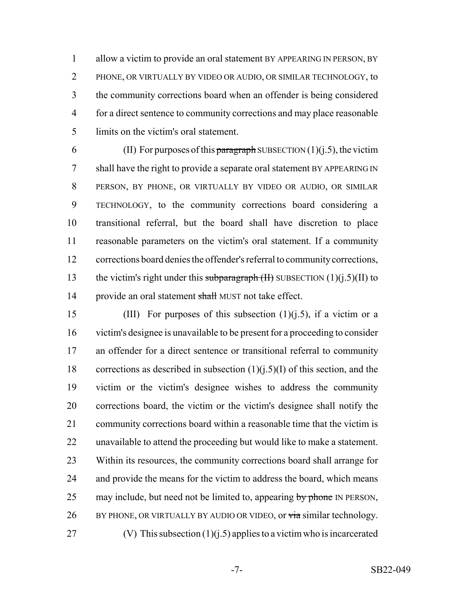allow a victim to provide an oral statement BY APPEARING IN PERSON, BY PHONE, OR VIRTUALLY BY VIDEO OR AUDIO, OR SIMILAR TECHNOLOGY, to the community corrections board when an offender is being considered for a direct sentence to community corrections and may place reasonable limits on the victim's oral statement.

6 (II) For purposes of this paragraph SUBSECTION (1)(j.5), the victim shall have the right to provide a separate oral statement BY APPEARING IN PERSON, BY PHONE, OR VIRTUALLY BY VIDEO OR AUDIO, OR SIMILAR TECHNOLOGY, to the community corrections board considering a transitional referral, but the board shall have discretion to place reasonable parameters on the victim's oral statement. If a community corrections board denies the offender's referral to community corrections, 13 the victim's right under this subparagraph  $(H)$  SUBSECTION  $(1)(i.5)(II)$  to 14 provide an oral statement shall MUST not take effect.

15 (III) For purposes of this subsection  $(1)(i.5)$ , if a victim or a victim's designee is unavailable to be present for a proceeding to consider an offender for a direct sentence or transitional referral to community 18 corrections as described in subsection  $(1)(i.5)(I)$  of this section, and the victim or the victim's designee wishes to address the community corrections board, the victim or the victim's designee shall notify the 21 community corrections board within a reasonable time that the victim is unavailable to attend the proceeding but would like to make a statement. Within its resources, the community corrections board shall arrange for 24 and provide the means for the victim to address the board, which means 25 may include, but need not be limited to, appearing by phone IN PERSON, 26 BY PHONE, OR VIRTUALLY BY AUDIO OR VIDEO, or via similar technology. 27 (V) This subsection  $(1)(i.5)$  applies to a victim who is incarcerated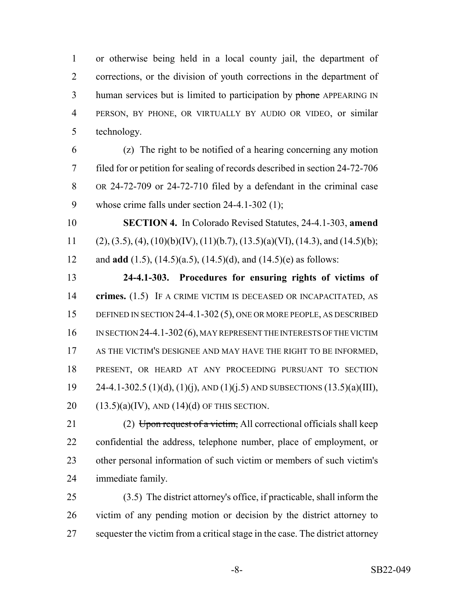or otherwise being held in a local county jail, the department of corrections, or the division of youth corrections in the department of 3 human services but is limited to participation by phone APPEARING IN PERSON, BY PHONE, OR VIRTUALLY BY AUDIO OR VIDEO, or similar technology.

 (z) The right to be notified of a hearing concerning any motion filed for or petition for sealing of records described in section 24-72-706 OR 24-72-709 or 24-72-710 filed by a defendant in the criminal case whose crime falls under section 24-4.1-302 (1);

 **SECTION 4.** In Colorado Revised Statutes, 24-4.1-303, **amend** 11 (2), (3.5), (4), (10)(b)(IV), (11)(b.7), (13.5)(a)(VI), (14.3), and (14.5)(b); and **add** (1.5), (14.5)(a.5), (14.5)(d), and (14.5)(e) as follows:

 **24-4.1-303. Procedures for ensuring rights of victims of crimes.** (1.5) IF A CRIME VICTIM IS DECEASED OR INCAPACITATED, AS 15 DEFINED IN SECTION 24-4.1-302 (5), ONE OR MORE PEOPLE, AS DESCRIBED 16 IN SECTION 24-4.1-302 (6), MAY REPRESENT THE INTERESTS OF THE VICTIM AS THE VICTIM'S DESIGNEE AND MAY HAVE THE RIGHT TO BE INFORMED, PRESENT, OR HEARD AT ANY PROCEEDING PURSUANT TO SECTION 19 24-4.1-302.5 (1)(d), (1)(j), AND (1)(j.5) AND SUBSECTIONS (13.5)(a)(III),  $(13.5)(a)(IV)$ , AND  $(14)(d)$  OF THIS SECTION.

21 (2) Upon request of a victim, All correctional officials shall keep confidential the address, telephone number, place of employment, or other personal information of such victim or members of such victim's immediate family.

 (3.5) The district attorney's office, if practicable, shall inform the victim of any pending motion or decision by the district attorney to 27 sequester the victim from a critical stage in the case. The district attorney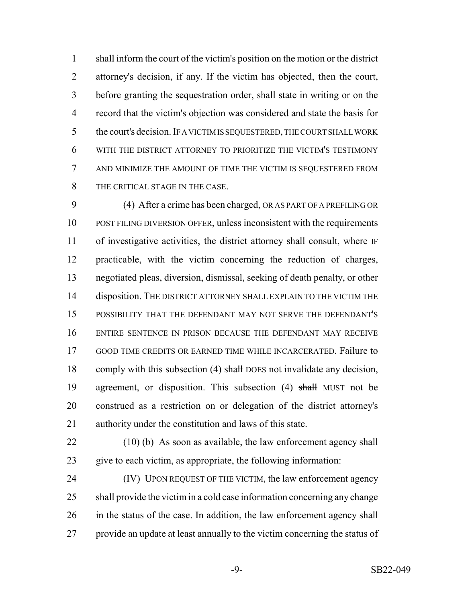shall inform the court of the victim's position on the motion or the district attorney's decision, if any. If the victim has objected, then the court, before granting the sequestration order, shall state in writing or on the record that the victim's objection was considered and state the basis for 5 the court's decision. IF A VICTIM IS SEQUESTERED, THE COURT SHALL WORK WITH THE DISTRICT ATTORNEY TO PRIORITIZE THE VICTIM'S TESTIMONY AND MINIMIZE THE AMOUNT OF TIME THE VICTIM IS SEQUESTERED FROM THE CRITICAL STAGE IN THE CASE.

 (4) After a crime has been charged, OR AS PART OF A PREFILING OR POST FILING DIVERSION OFFER, unless inconsistent with the requirements 11 of investigative activities, the district attorney shall consult, where IF practicable, with the victim concerning the reduction of charges, negotiated pleas, diversion, dismissal, seeking of death penalty, or other 14 disposition. THE DISTRICT ATTORNEY SHALL EXPLAIN TO THE VICTIM THE POSSIBILITY THAT THE DEFENDANT MAY NOT SERVE THE DEFENDANT'S ENTIRE SENTENCE IN PRISON BECAUSE THE DEFENDANT MAY RECEIVE GOOD TIME CREDITS OR EARNED TIME WHILE INCARCERATED. Failure to 18 comply with this subsection (4) shall DOES not invalidate any decision, 19 agreement, or disposition. This subsection (4) shall MUST not be construed as a restriction on or delegation of the district attorney's authority under the constitution and laws of this state.

 (10) (b) As soon as available, the law enforcement agency shall give to each victim, as appropriate, the following information:

 (IV) UPON REQUEST OF THE VICTIM, the law enforcement agency shall provide the victim in a cold case information concerning any change 26 in the status of the case. In addition, the law enforcement agency shall provide an update at least annually to the victim concerning the status of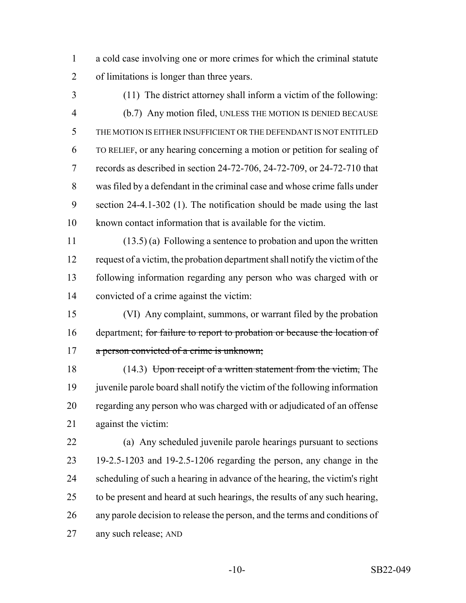a cold case involving one or more crimes for which the criminal statute of limitations is longer than three years.

(11) The district attorney shall inform a victim of the following:

 (b.7) Any motion filed, UNLESS THE MOTION IS DENIED BECAUSE THE MOTION IS EITHER INSUFFICIENT OR THE DEFENDANT IS NOT ENTITLED TO RELIEF, or any hearing concerning a motion or petition for sealing of records as described in section 24-72-706, 24-72-709, or 24-72-710 that was filed by a defendant in the criminal case and whose crime falls under section 24-4.1-302 (1). The notification should be made using the last known contact information that is available for the victim.

 (13.5) (a) Following a sentence to probation and upon the written request of a victim, the probation department shall notify the victim of the following information regarding any person who was charged with or convicted of a crime against the victim:

 (VI) Any complaint, summons, or warrant filed by the probation 16 department; for failure to report to probation or because the location of 17 a person convicted of a crime is unknown;

18 (14.3) Upon receipt of a written statement from the victim, The 19 juven is parole board shall notify the victim of the following information regarding any person who was charged with or adjudicated of an offense against the victim:

 (a) Any scheduled juvenile parole hearings pursuant to sections 19-2.5-1203 and 19-2.5-1206 regarding the person, any change in the scheduling of such a hearing in advance of the hearing, the victim's right to be present and heard at such hearings, the results of any such hearing, any parole decision to release the person, and the terms and conditions of any such release; AND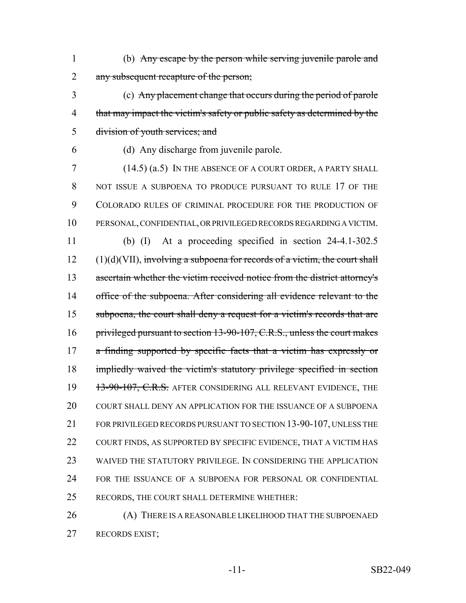- 1 (b) Any escape by the person while serving juvenile parole and 2 any subsequent recapture of the person;
- 3 (c) Any placement change that occurs during the period of parole 4 that may impact the victim's safety or public safety as determined by the 5 division of youth services; and
- 

6 (d) Any discharge from juvenile parole.

7 (14.5) (a.5) IN THE ABSENCE OF A COURT ORDER, A PARTY SHALL 8 NOT ISSUE A SUBPOENA TO PRODUCE PURSUANT TO RULE 17 OF THE 9 COLORADO RULES OF CRIMINAL PROCEDURE FOR THE PRODUCTION OF 10 PERSONAL, CONFIDENTIAL, OR PRIVILEGED RECORDS REGARDING A VICTIM. 11 (b) (I) At a proceeding specified in section 24-4.1-302.5  $12$  (1)(d)(VII), involving a subpoena for records of a victim, the court shall 13 ascertain whether the victim received notice from the district attorney's 14 office of the subpoena. After considering all evidence relevant to the 15 subpoena, the court shall deny a request for a victim's records that are 16 privileged pursuant to section 13-90-107, C.R.S., unless the court makes 17 a finding supported by specific facts that a victim has expressly or 18 impliedly waived the victim's statutory privilege specified in section 19 13-90-107, C.R.S. AFTER CONSIDERING ALL RELEVANT EVIDENCE, THE 20 COURT SHALL DENY AN APPLICATION FOR THE ISSUANCE OF A SUBPOENA 21 FOR PRIVILEGED RECORDS PURSUANT TO SECTION 13-90-107, UNLESS THE 22 COURT FINDS, AS SUPPORTED BY SPECIFIC EVIDENCE, THAT A VICTIM HAS 23 WAIVED THE STATUTORY PRIVILEGE. IN CONSIDERING THE APPLICATION 24 FOR THE ISSUANCE OF A SUBPOENA FOR PERSONAL OR CONFIDENTIAL 25 RECORDS, THE COURT SHALL DETERMINE WHETHER:

26 (A) THERE IS A REASONABLE LIKELIHOOD THAT THE SUBPOENAED 27 RECORDS EXIST;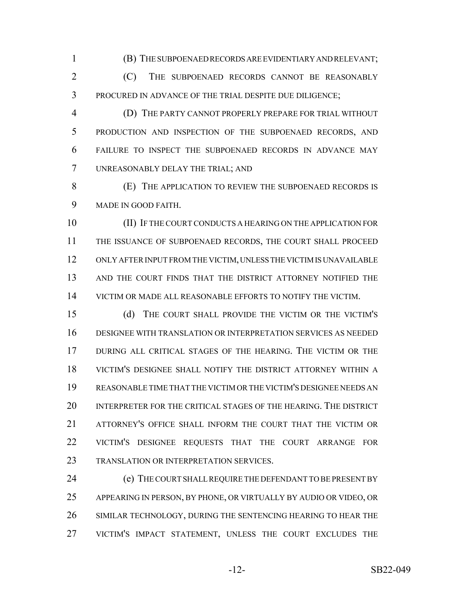(B) THE SUBPOENAED RECORDS ARE EVIDENTIARY AND RELEVANT;

 (C) THE SUBPOENAED RECORDS CANNOT BE REASONABLY PROCURED IN ADVANCE OF THE TRIAL DESPITE DUE DILIGENCE;

 (D) THE PARTY CANNOT PROPERLY PREPARE FOR TRIAL WITHOUT PRODUCTION AND INSPECTION OF THE SUBPOENAED RECORDS, AND FAILURE TO INSPECT THE SUBPOENAED RECORDS IN ADVANCE MAY UNREASONABLY DELAY THE TRIAL; AND

 (E) THE APPLICATION TO REVIEW THE SUBPOENAED RECORDS IS MADE IN GOOD FAITH.

 (II) IF THE COURT CONDUCTS A HEARING ON THE APPLICATION FOR THE ISSUANCE OF SUBPOENAED RECORDS, THE COURT SHALL PROCEED ONLY AFTER INPUT FROM THE VICTIM, UNLESS THE VICTIM IS UNAVAILABLE AND THE COURT FINDS THAT THE DISTRICT ATTORNEY NOTIFIED THE VICTIM OR MADE ALL REASONABLE EFFORTS TO NOTIFY THE VICTIM.

 (d) THE COURT SHALL PROVIDE THE VICTIM OR THE VICTIM'S DESIGNEE WITH TRANSLATION OR INTERPRETATION SERVICES AS NEEDED DURING ALL CRITICAL STAGES OF THE HEARING. THE VICTIM OR THE VICTIM'S DESIGNEE SHALL NOTIFY THE DISTRICT ATTORNEY WITHIN A REASONABLE TIME THAT THE VICTIM OR THE VICTIM'S DESIGNEE NEEDS AN INTERPRETER FOR THE CRITICAL STAGES OF THE HEARING. THE DISTRICT ATTORNEY'S OFFICE SHALL INFORM THE COURT THAT THE VICTIM OR VICTIM'S DESIGNEE REQUESTS THAT THE COURT ARRANGE FOR 23 TRANSLATION OR INTERPRETATION SERVICES.

24 (e) THE COURT SHALL REQUIRE THE DEFENDANT TO BE PRESENT BY APPEARING IN PERSON, BY PHONE, OR VIRTUALLY BY AUDIO OR VIDEO, OR SIMILAR TECHNOLOGY, DURING THE SENTENCING HEARING TO HEAR THE VICTIM'S IMPACT STATEMENT, UNLESS THE COURT EXCLUDES THE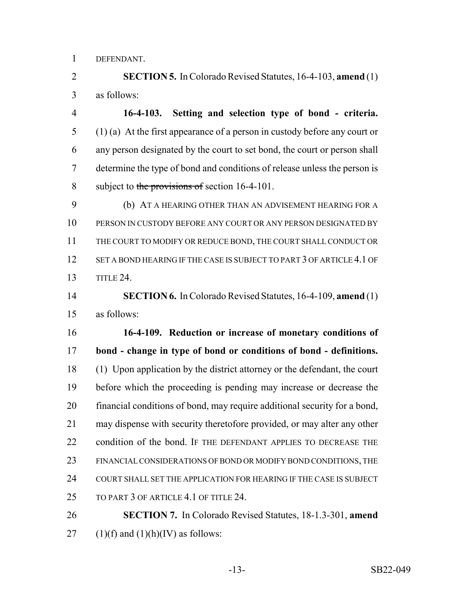DEFENDANT.

 **SECTION 5.** In Colorado Revised Statutes, 16-4-103, **amend** (1) as follows:

 **16-4-103. Setting and selection type of bond - criteria.** (1) (a) At the first appearance of a person in custody before any court or any person designated by the court to set bond, the court or person shall determine the type of bond and conditions of release unless the person is 8 subject to the provisions of section 16-4-101.

 (b) AT A HEARING OTHER THAN AN ADVISEMENT HEARING FOR A PERSON IN CUSTODY BEFORE ANY COURT OR ANY PERSON DESIGNATED BY THE COURT TO MODIFY OR REDUCE BOND, THE COURT SHALL CONDUCT OR 12 SET A BOND HEARING IF THE CASE IS SUBJECT TO PART 3 OF ARTICLE 4.1 OF TITLE 24.

 **SECTION 6.** In Colorado Revised Statutes, 16-4-109, **amend** (1) as follows:

 **16-4-109. Reduction or increase of monetary conditions of bond - change in type of bond or conditions of bond - definitions.** (1) Upon application by the district attorney or the defendant, the court before which the proceeding is pending may increase or decrease the financial conditions of bond, may require additional security for a bond, may dispense with security theretofore provided, or may alter any other 22 condition of the bond. IF THE DEFENDANT APPLIES TO DECREASE THE FINANCIAL CONSIDERATIONS OF BOND OR MODIFY BOND CONDITIONS, THE COURT SHALL SET THE APPLICATION FOR HEARING IF THE CASE IS SUBJECT 25 TO PART 3 OF ARTICLE 4.1 OF TITLE 24.

 **SECTION 7.** In Colorado Revised Statutes, 18-1.3-301, **amend** 27 (1)(f) and (1)(h)(IV) as follows: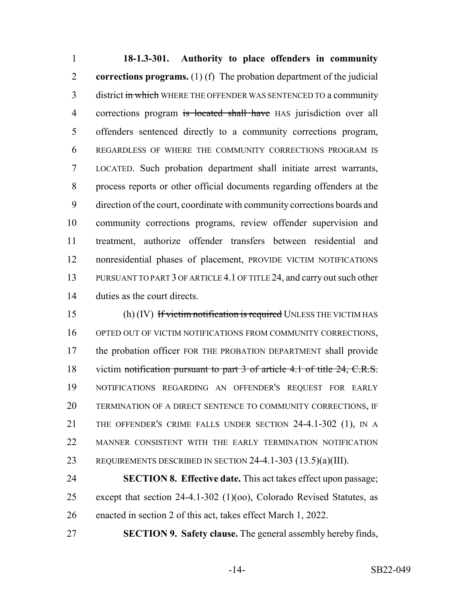**18-1.3-301. Authority to place offenders in community corrections programs.** (1) (f) The probation department of the judicial 3 district in which WHERE THE OFFENDER WAS SENTENCED TO a community 4 corrections program is located shall have HAS jurisdiction over all offenders sentenced directly to a community corrections program, REGARDLESS OF WHERE THE COMMUNITY CORRECTIONS PROGRAM IS LOCATED. Such probation department shall initiate arrest warrants, process reports or other official documents regarding offenders at the direction of the court, coordinate with community corrections boards and community corrections programs, review offender supervision and treatment, authorize offender transfers between residential and nonresidential phases of placement, PROVIDE VICTIM NOTIFICATIONS PURSUANT TO PART 3 OF ARTICLE 4.1 OF TITLE 24, and carry out such other duties as the court directs.

15 (h) (IV) If victim notification is required UNLESS THE VICTIM HAS 16 OPTED OUT OF VICTIM NOTIFICATIONS FROM COMMUNITY CORRECTIONS, the probation officer FOR THE PROBATION DEPARTMENT shall provide 18 victim notification pursuant to part 3 of article 4.1 of title 24, C.R.S. NOTIFICATIONS REGARDING AN OFFENDER'S REQUEST FOR EARLY TERMINATION OF A DIRECT SENTENCE TO COMMUNITY CORRECTIONS, IF THE OFFENDER'S CRIME FALLS UNDER SECTION 24-4.1-302 (1), IN A MANNER CONSISTENT WITH THE EARLY TERMINATION NOTIFICATION REQUIREMENTS DESCRIBED IN SECTION 24-4.1-303 (13.5)(a)(III).

 **SECTION 8. Effective date.** This act takes effect upon passage; except that section 24-4.1-302 (1)(oo), Colorado Revised Statutes, as enacted in section 2 of this act, takes effect March 1, 2022.

**SECTION 9. Safety clause.** The general assembly hereby finds,